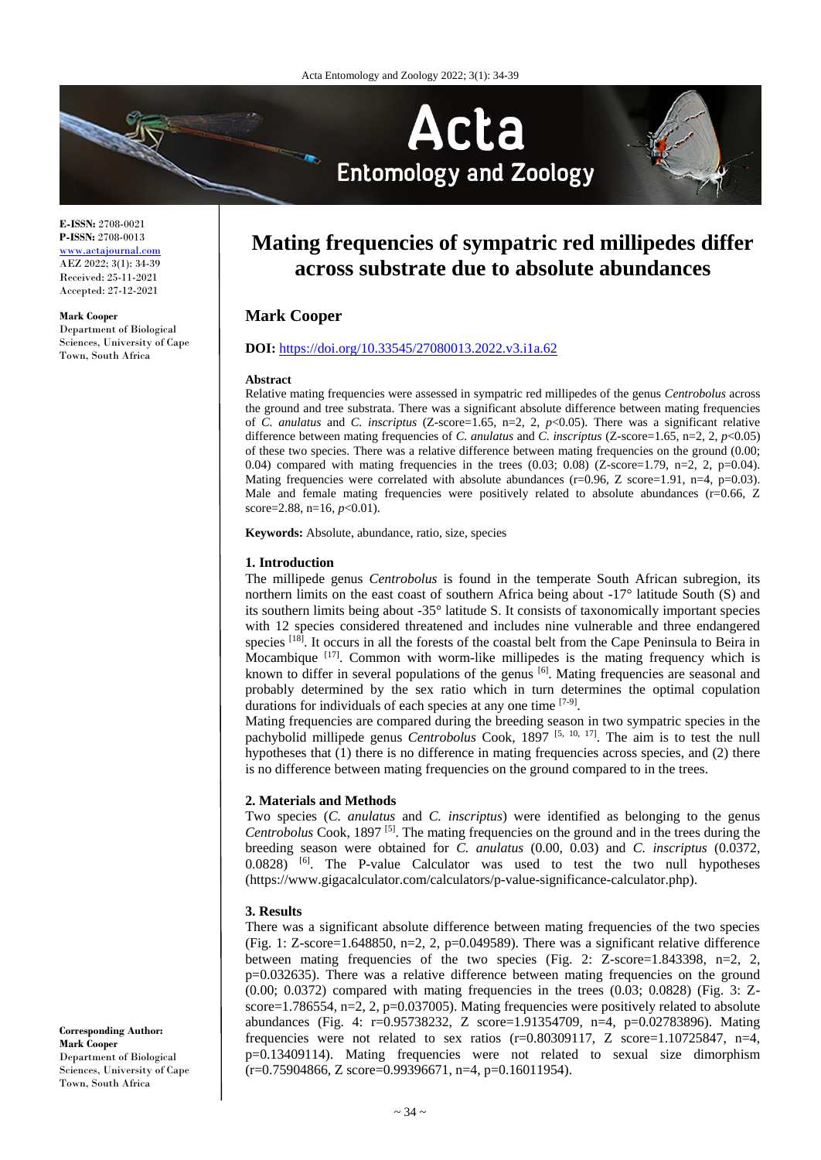

**E-ISSN:** 2708-0021 **P-ISSN:** 2708-0013 <www.actajournal.com> AEZ 2022; 3(1): 34-39 Received: 25-11-2021 Accepted: 27-12-2021

#### **Mark Cooper**

Department of Biological Sciences, University of Cape Town, South Africa

# **Mating frequencies of sympatric red millipedes differ across substrate due to absolute abundances**

## **Mark Cooper**

## **DOI:** <https://doi.org/10.33545/27080013.2022.v3.i1a.62>

#### **Abstract**

Relative mating frequencies were assessed in sympatric red millipedes of the genus *Centrobolus* across the ground and tree substrata. There was a significant absolute difference between mating frequencies of *C. anulatus* and *C. inscriptus* (Z-score=1.65, n=2, 2, *p*<0.05). There was a significant relative difference between mating frequencies of *C. anulatus* and *C. inscriptus* (Z-score=1.65, n=2, 2, *p*<0.05) of these two species. There was a relative difference between mating frequencies on the ground (0.00; 0.04) compared with mating frequencies in the trees  $(0.03; 0.08)$  (Z-score=1.79, n=2, 2, p=0.04). Mating frequencies were correlated with absolute abundances ( $r=0.96$ , Z score=1.91, n=4, p=0.03). Male and female mating frequencies were positively related to absolute abundances ( $r=0.66$ ,  $Z$ ) score=2.88, n=16,  $p$ <0.01).

**Keywords:** Absolute, abundance, ratio, size, species

#### **1. Introduction**

The millipede genus *Centrobolus* is found in the temperate South African subregion, its northern limits on the east coast of southern Africa being about -17° latitude South (S) and its southern limits being about -35° latitude S. It consists of taxonomically important species with 12 species considered threatened and includes nine vulnerable and three endangered species  $[18]$ . It occurs in all the forests of the coastal belt from the Cape Peninsula to Beira in Mocambique  $[17]$ . Common with worm-like millipedes is the mating frequency which is known to differ in several populations of the genus <sup>[6]</sup>. Mating frequencies are seasonal and probably determined by the sex ratio which in turn determines the optimal copulation durations for individuals of each species at any one time [7-9].

Mating frequencies are compared during the breeding season in two sympatric species in the pachybolid millipede genus *Centrobolus* Cook, 1897<sup>[5, 10, 17]. The aim is to test the null</sup> hypotheses that (1) there is no difference in mating frequencies across species, and (2) there is no difference between mating frequencies on the ground compared to in the trees.

#### **2. Materials and Methods**

Two species (*C. anulatus* and *C. inscriptus*) were identified as belonging to the genus *Centrobolus* Cook, 1897 [5]. The mating frequencies on the ground and in the trees during the breeding season were obtained for *C. anulatus* (0.00, 0.03) and *C. inscriptus* (0.0372,  $0.0828$ ) <sup>[6]</sup>. The P-value Calculator was used to test the two null hypotheses (https://www.gigacalculator.com/calculators/p-value-significance-calculator.php).

#### **3. Results**

There was a significant absolute difference between mating frequencies of the two species (Fig. 1: Z-score=1.648850, n=2, 2, p=0.049589). There was a significant relative difference between mating frequencies of the two species (Fig. 2:  $Z$ -score=1.843398, n=2, 2, p=0.032635). There was a relative difference between mating frequencies on the ground (0.00; 0.0372) compared with mating frequencies in the trees (0.03; 0.0828) (Fig. 3: Zscore=1.786554, n=2, 2, p=0.037005). Mating frequencies were positively related to absolute abundances (Fig. 4: r=0.95738232, Z score=1.91354709, n=4, p=0.02783896). Mating frequencies were not related to sex ratios (r=0.80309117, Z score=1.10725847, n=4, p=0.13409114). Mating frequencies were not related to sexual size dimorphism  $(r=0.75904866, Z \text{ score}=0.99396671, n=4, p=0.16011954).$ 

**Corresponding Author: Mark Cooper** Department of Biological Sciences, University of Cape Town, South Africa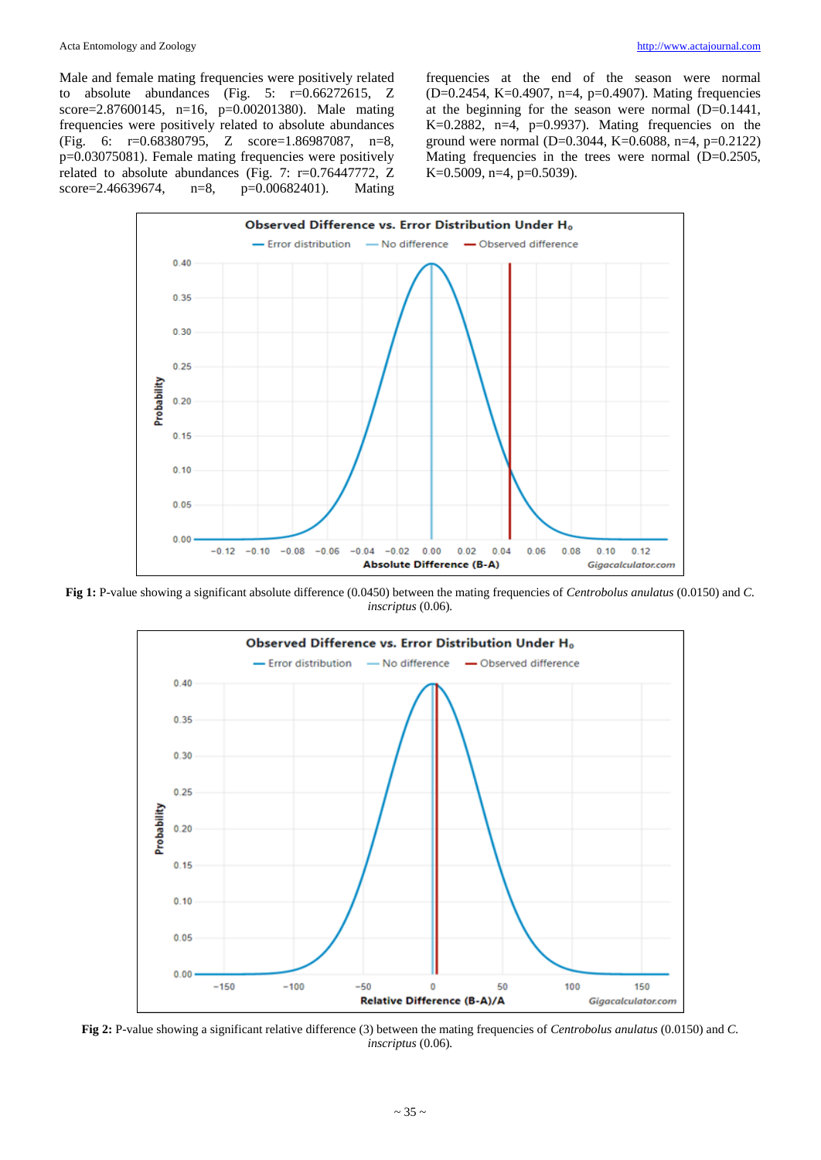Male and female mating frequencies were positively related to absolute abundances (Fig. 5: r=0.66272615, Z score=2.87600145, n=16, p=0.00201380). Male mating frequencies were positively related to absolute abundances (Fig. 6: r=0.68380795, Z score=1.86987087, n=8, p=0.03075081). Female mating frequencies were positively related to absolute abundances (Fig. 7: r=0.76447772, Z score=2.46639674, n=8, p=0.00682401). Mating

frequencies at the end of the season were normal (D=0.2454, K=0.4907, n=4, p=0.4907). Mating frequencies at the beginning for the season were normal (D=0.1441, K=0.2882, n=4, p=0.9937). Mating frequencies on the ground were normal (D=0.3044, K=0.6088, n=4, p=0.2122) Mating frequencies in the trees were normal (D=0.2505, K=0.5009, n=4, p=0.5039).



**Fig 1:** P-value showing a significant absolute difference (0.0450) between the mating frequencies of *Centrobolus anulatus* (0.0150) and *C. inscriptus* (0.06)*.*



**Fig 2:** P-value showing a significant relative difference (3) between the mating frequencies of *Centrobolus anulatus* (0.0150) and *C. inscriptus* (0.06)*.*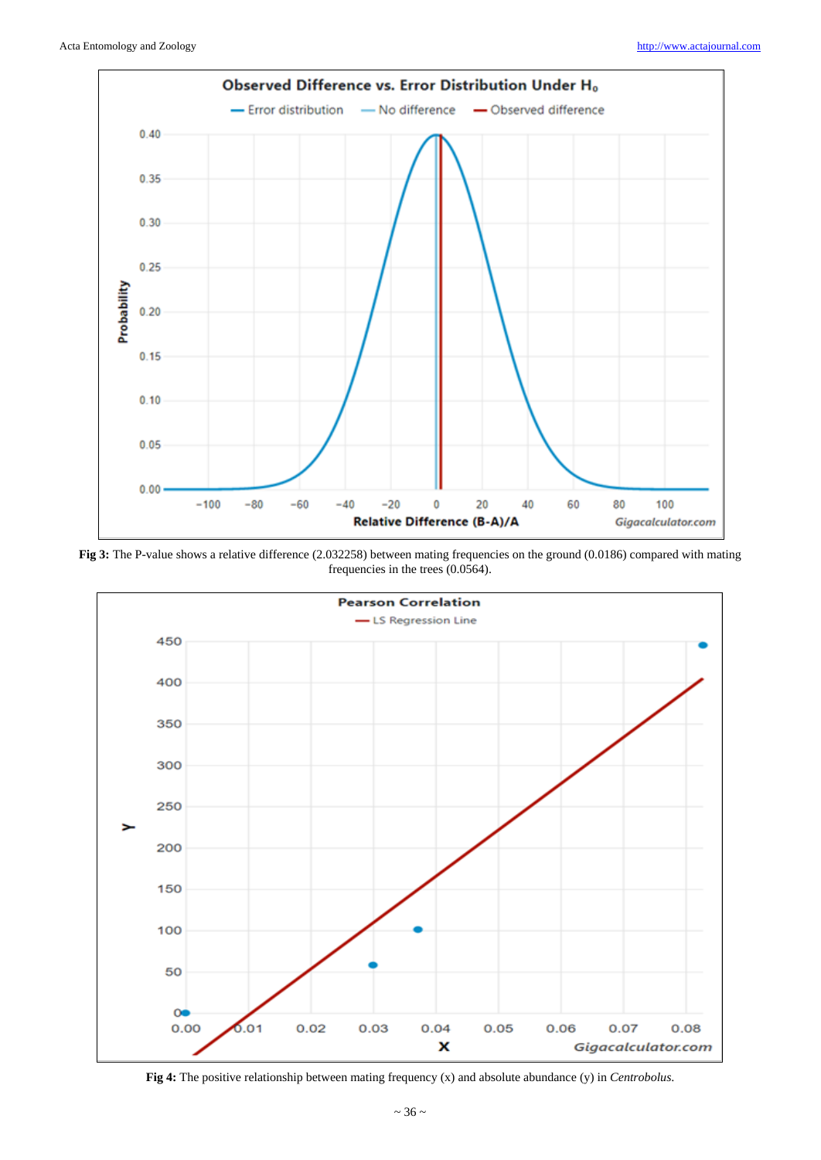

**Fig 3:** The P-value shows a relative difference (2.032258) between mating frequencies on the ground (0.0186) compared with mating frequencies in the trees (0.0564).



**Fig 4:** The positive relationship between mating frequency (x) and absolute abundance (y) in *Centrobolus*.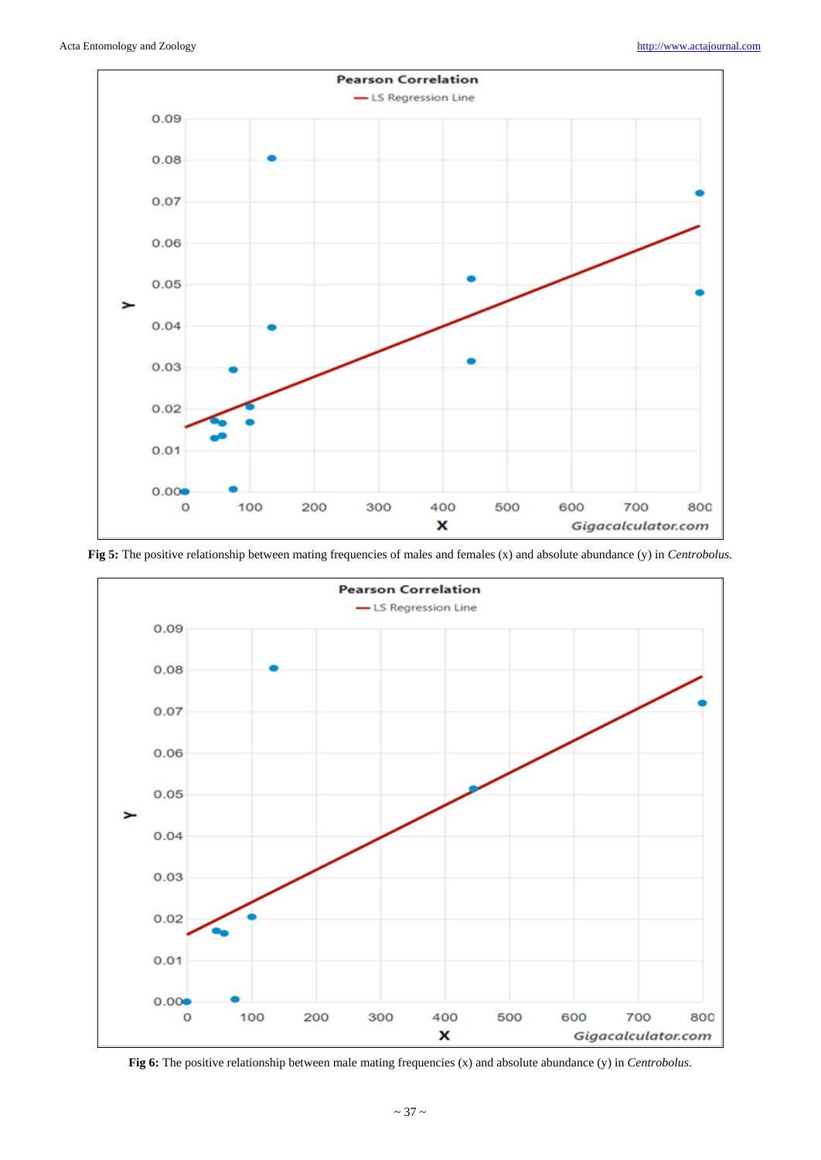

**Fig 5:** The positive relationship between mating frequencies of males and females (x) and absolute abundance (y) in *Centrobolus.*



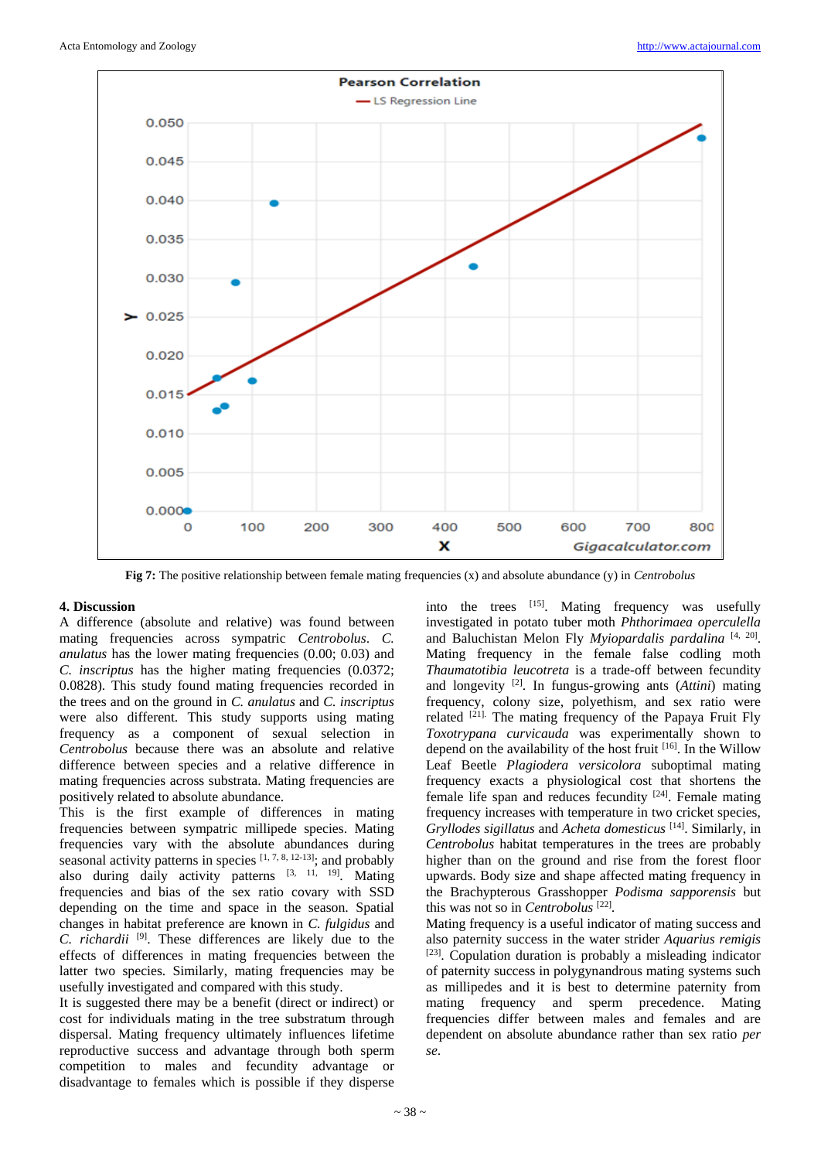

**Fig 7:** The positive relationship between female mating frequencies (x) and absolute abundance (y) in *Centrobolus*

### **4. Discussion**

A difference (absolute and relative) was found between mating frequencies across sympatric *Centrobolus*. *C. anulatus* has the lower mating frequencies (0.00; 0.03) and *C. inscriptus* has the higher mating frequencies (0.0372; 0.0828). This study found mating frequencies recorded in the trees and on the ground in *C. anulatus* and *C. inscriptus*  were also different. This study supports using mating frequency as a component of sexual selection in *Centrobolus* because there was an absolute and relative difference between species and a relative difference in mating frequencies across substrata. Mating frequencies are positively related to absolute abundance.

This is the first example of differences in mating frequencies between sympatric millipede species. Mating frequencies vary with the absolute abundances during seasonal activity patterns in species  $[1, 7, 8, 12-13]$ ; and probably also during daily activity patterns  $[3, 11, 19]$ . Mating frequencies and bias of the sex ratio covary with SSD depending on the time and space in the season. Spatial changes in habitat preference are known in *C. fulgidus* and *C. richardii* [9]. These differences are likely due to the effects of differences in mating frequencies between the latter two species. Similarly, mating frequencies may be usefully investigated and compared with this study.

It is suggested there may be a benefit (direct or indirect) or cost for individuals mating in the tree substratum through dispersal. Mating frequency ultimately influences lifetime reproductive success and advantage through both sperm competition to males and fecundity advantage or disadvantage to females which is possible if they disperse into the trees [15]. Mating frequency was usefully investigated in potato tuber moth *Phthorimaea operculella*  and Baluchistan Melon Fly *Myiopardalis pardalina* [4, 20] . Mating frequency in the female false codling moth *Thaumatotibia leucotreta* is a trade-off between fecundity and longevity [2]. In fungus-growing ants (*Attini*) mating frequency, colony size, polyethism, and sex ratio were related  $^{[21]}$ . The mating frequency of the Papaya Fruit Fly *Toxotrypana curvicauda* was experimentally shown to depend on the availability of the host fruit  $[16]$ . In the Willow Leaf Beetle *Plagiodera versicolora* suboptimal mating frequency exacts a physiological cost that shortens the female life span and reduces fecundity [24]. Female mating frequency increases with temperature in two cricket species, *Gryllodes sigillatus* and *Acheta domesticus* [14]. Similarly, in *Centrobolus* habitat temperatures in the trees are probably higher than on the ground and rise from the forest floor upwards. Body size and shape affected mating frequency in the Brachypterous Grasshopper *Podisma sapporensis* but this was not so in *Centrobolus*<sup>[22]</sup>.

Mating frequency is a useful indicator of mating success and also paternity success in the water strider *Aquarius remigis*  [23]. Copulation duration is probably a misleading indicator of paternity success in polygynandrous mating systems such as millipedes and it is best to determine paternity from mating frequency and sperm precedence. Mating frequencies differ between males and females and are dependent on absolute abundance rather than sex ratio *per se*.